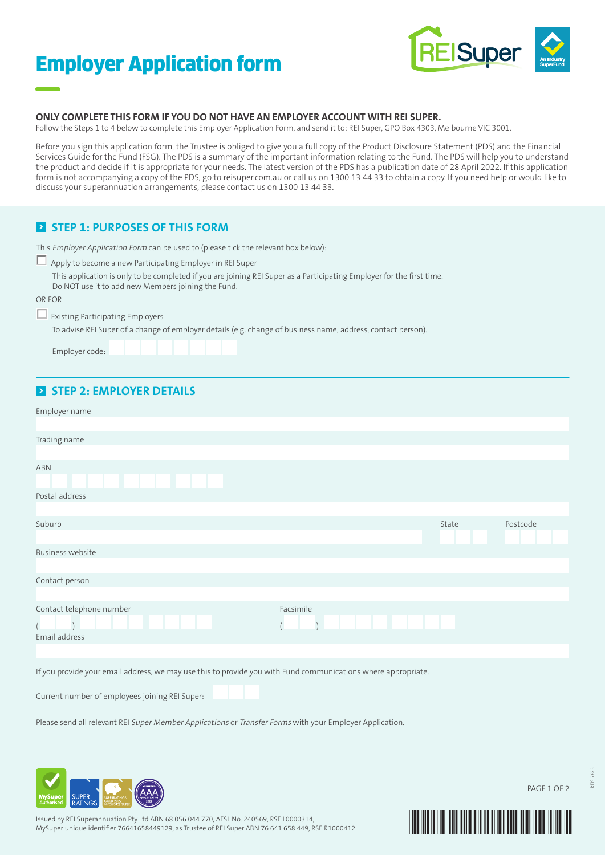# Employer Application form



#### **ONLY COMPLETE THIS FORM IF YOU DO NOT HAVE AN EMPLOYER ACCOUNT WITH REI SUPER.**

Follow the Steps 1 to 4 below to complete this Employer Application Form, and send it to: REI Super, GPO Box 4303, Melbourne VIC 3001.

Before you sign this application form, the Trustee is obliged to give you a full copy of the Product Disclosure Statement (PDS) and the Financial Services Guide for the Fund (FSG). The PDS is a summary of the important information relating to the Fund. The PDS will help you to understand the product and decide if it is appropriate for your needs. The latest version of the PDS has a publication date of 28 April 2022. If this application form is not accompanying a copy of the PDS, go to reisuper.com.au or call us on 1300 13 44 33 to obtain a copy. If you need help or would like to discuss your superannuation arrangements, please contact us on 1300 13 44 33.

## **EX STEP 1: PURPOSES OF THIS FORM**

| This Employer Application Form can be used to (please tick the relevant box below): |  |  |  |
|-------------------------------------------------------------------------------------|--|--|--|
|-------------------------------------------------------------------------------------|--|--|--|

|        | Apply to become a new Participating Employer in REI Super                                                                                                                   |  |  |
|--------|-----------------------------------------------------------------------------------------------------------------------------------------------------------------------------|--|--|
|        | This application is only to be completed if you are joining REI Super as a Participating Employer for the first time.<br>Do NOT use it to add new Members joining the Fund. |  |  |
| OR FOR |                                                                                                                                                                             |  |  |
|        | $\Box$ Existing Participating Employers                                                                                                                                     |  |  |
|        | To advise REI Super of a change of employer details (e.g. change of business name, address, contact person).                                                                |  |  |
|        | Employer code: <b>All Party Lines</b>                                                                                                                                       |  |  |

## **STEP 2: EMPLOYER DETAILS**

| Employer name                                                                                                 |       |             |
|---------------------------------------------------------------------------------------------------------------|-------|-------------|
|                                                                                                               |       |             |
| Trading name                                                                                                  |       |             |
|                                                                                                               |       |             |
| <b>ABN</b>                                                                                                    |       |             |
| <b>TERRIT DE</b>                                                                                              |       |             |
| Postal address                                                                                                |       |             |
|                                                                                                               |       |             |
| Suburb                                                                                                        | State | Postcode    |
|                                                                                                               |       |             |
| <b>Business website</b>                                                                                       |       |             |
|                                                                                                               |       |             |
| Contact person                                                                                                |       |             |
|                                                                                                               |       |             |
| Contact telephone number<br>Facsimile<br>.                                                                    |       |             |
| Email address                                                                                                 |       |             |
|                                                                                                               |       |             |
| If you provide your email address, we may use this to provide you with Fund communications where appropriate. |       |             |
| Current number of employees joining REI Super:                                                                |       |             |
|                                                                                                               |       |             |
| Please send all relevant REI Super Member Applications or Transfer Forms with your Employer Application.      |       |             |
|                                                                                                               |       |             |
|                                                                                                               |       |             |
|                                                                                                               |       |             |
| $\mathcal{I}$                                                                                                 |       | PAGE 1 OF 2 |



Issued by REI Superannuation Pty Ltd ABN 68 056 044 770, AFSL No. 240569, RSE L0000314, MySuper unique identifier 76641658449129, as Trustee of REI Super ABN 76 641 658 449, RSE R1000412.



REIS 7823

7823 REIS